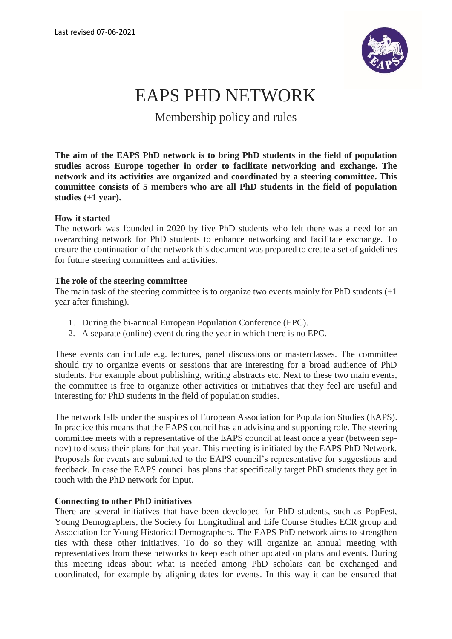

# EAPS PHD NETWORK

Membership policy and rules

**The aim of the EAPS PhD network is to bring PhD students in the field of population studies across Europe together in order to facilitate networking and exchange. The network and its activities are organized and coordinated by a steering committee. This committee consists of 5 members who are all PhD students in the field of population studies (+1 year).**

# **How it started**

The network was founded in 2020 by five PhD students who felt there was a need for an overarching network for PhD students to enhance networking and facilitate exchange. To ensure the continuation of the network this document was prepared to create a set of guidelines for future steering committees and activities.

## **The role of the steering committee**

The main task of the steering committee is to organize two events mainly for PhD students (+1 year after finishing).

- 1. During the bi-annual European Population Conference (EPC).
- 2. A separate (online) event during the year in which there is no EPC.

These events can include e.g. lectures, panel discussions or masterclasses. The committee should try to organize events or sessions that are interesting for a broad audience of PhD students. For example about publishing, writing abstracts etc. Next to these two main events, the committee is free to organize other activities or initiatives that they feel are useful and interesting for PhD students in the field of population studies.

The network falls under the auspices of European Association for Population Studies (EAPS). In practice this means that the EAPS council has an advising and supporting role. The steering committee meets with a representative of the EAPS council at least once a year (between sepnov) to discuss their plans for that year. This meeting is initiated by the EAPS PhD Network. Proposals for events are submitted to the EAPS council's representative for suggestions and feedback. In case the EAPS council has plans that specifically target PhD students they get in touch with the PhD network for input.

#### **Connecting to other PhD initiatives**

There are several initiatives that have been developed for PhD students, such as PopFest, Young Demographers, the Society for Longitudinal and Life Course Studies ECR group and Association for Young Historical Demographers. The EAPS PhD network aims to strengthen ties with these other initiatives. To do so they will organize an annual meeting with representatives from these networks to keep each other updated on plans and events. During this meeting ideas about what is needed among PhD scholars can be exchanged and coordinated, for example by aligning dates for events. In this way it can be ensured that